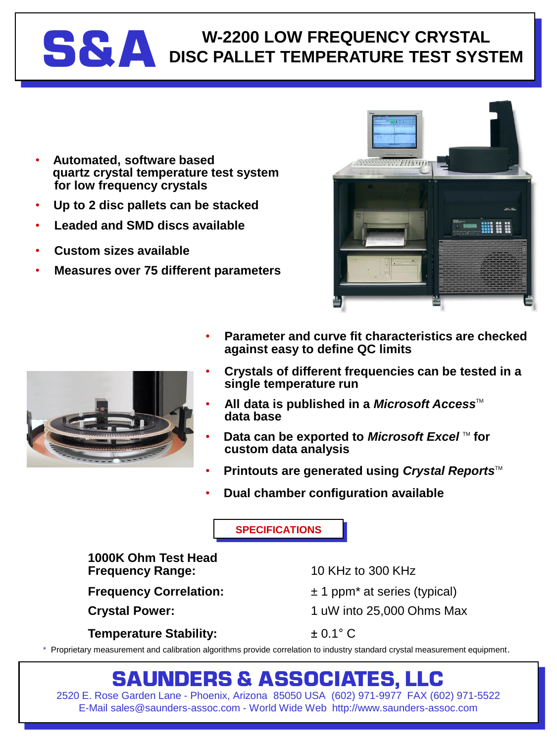## **S&A** DISC PALLET TEMPERATURE TEST SYS **DISC PALLET TEMPERATURE TEST SYSTEM**

- **Automated, software based quartz crystal temperature test system for low frequency crystals**
- **Up to 2 disc pallets can be stacked**
- **Leaded and SMD discs available**
- **Custom sizes available**
- **Measures over 75 different parameters**





- **Parameter and curve fit characteristics are checked against easy to define QC limits**
	- **Crystals of different frequencies can be tested in a single temperature run**
- **All data is published in a** *Microsoft Access***<sup>™</sup> data base**
- **Data can be exported to** *Microsoft Excel* **™ for custom data analysis**
- **Printouts are generated using Crystal Reports™**
- **Dual chamber configuration available**

**SPECIFICATIONS**

#### **1000K Ohm Test Head Frequency Range:** 10 KHz to 300 KHz

**Temperature Stability:** ± 0.1° C

**Frequency Correlation:**  $\pm 1$  ppm<sup>\*</sup> at series (typical)

**Crystal Power:** 1 uW into 25,000 Ohms Max

\* Proprietary measurement and calibration algorithms provide correlation to industry standard crystal measurement equipment.

### **SAUNDERS & ASSOCIATES, LLC**

2520 E. Rose Garden Lane - Phoenix, Arizona 85050 USA (602) 971-9977 FAX (602) 971-5522 E-Mail sales@saunders-assoc.com - World Wide Web http://www.saunders-assoc.com